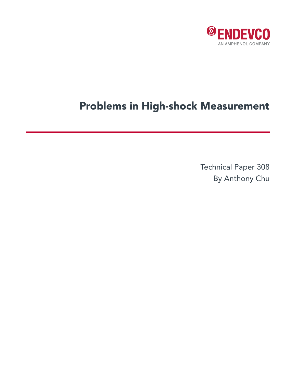

# Problems in High-shock Measurement

Technical Paper 308 By Anthony Chu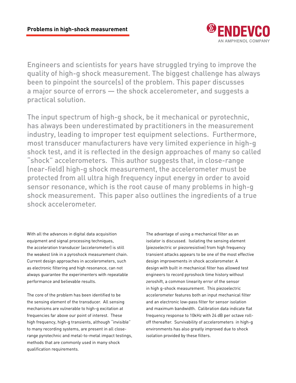

Engineers and scientists for years have struggled trying to improve the quality of high-g shock measurement. The biggest challenge has always been to pinpoint the source(s) of the problem. This paper discusses a major source of errors — the shock accelerometer, and suggests a practical solution.

The input spectrum of high-g shock, be it mechanical or pyrotechnic, has always been underestimated by practitioners in the measurement industry, leading to improper test equipment selections. Furthermore, most transducer manufacturers have very limited experience in high-g shock test, and it is reflected in the design approaches of many so called "shock" accelerometers. This author suggests that, in close-range (near-field) high-g shock measurement, the accelerometer must be protected from all ultra high frequency input energy in order to avoid sensor resonance, which is the root cause of many problems in high-g shock measurement. This paper also outlines the ingredients of a true shock accelerometer.

With all the advances in digital data acquisition equipment and signal processing techniques, the acceleration transducer (accelerometer) is still the weakest link in a pyroshock measurement chain. Current design approaches in accelerometers, such as electronic filtering and high resonance, can not always guarantee the experimenters with repeatable performance and believable results.

The core of the problem has been identified to be the sensing element of the transducer. All sensing mechanisms are vulnerable to high-g excitation at frequencies far above our point of interest. These high frequency, high-g transients, although "invisible" to many recording systems, are present in all closerange pyrotechnic and metal-to-metal impact testings, methods that are commonly used in many shock qualification requirements.

The advantage of using a mechanical filter as an isolator is discussed. Isolating the sensing element (piezoelectric or piezoresistive) from high frequency transient attacks appears to be one of the most effective design improvements in shock accelerometer. A design with built in mechanical filter has allowed test engineers to record pyroshock time history without zeroshift, a common linearity error of the sensor in high g-shock measurement. This piezoelectric accelerometer features both an input mechanical filter and an electronic low-pass filter for sensor isolation and maximum bandwidth. Calibration data indicate flat frequency response to 10kHz with 24 dB per octave rolloff thereafter. Survivability of accelerometers in high-g environments has also greatly improved due to shock isolation provided by these filters.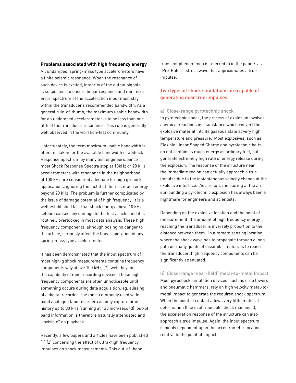## **Problems associated with high frequency energy**

All undamped, spring-mass type accelerometers have a finite seismic resonance. When the resonance of such device is excited, integrity of the output signals is suspected. To ensure linear response and minimize error, spectrum of the acceleration input must stay within the transducer's recommended bandwidth. As a general rule-of-thumb, the maximum usable bandwidth for an undamped accelerometer is to be less than one fifth of the transducer resonance. This rule is generally well observed in the vibration-test community.

Unfortunately, the term maximum usable bandwidth is often mistaken for the available bandwidth of a Shock Response Spectrum by many test engineers. Since most Shock Response Spectra stop at 10kHz or 20 kHz, accelerometers with resonance in the neighborhood of 100 kHz are considered adequate for high g-shock applications, ignoring the fact that there is much energy beyond 20 kHz. The problem is further complicated by the issue of damage potential of high frequency. It is a well established fact that shock energy above 10 kHz seldom causes any damage to the test article, and it is routinely overlooked in most data analysis. These high frequency components, although posing no danger to the article, seriously affect the linear operation of any spring-mass type accelerometer.

It has been demonstrated that the input spectrum of most high-g shock measurements contains frequency components way above 100 kHz, [7], well beyond the capability of most recording devices. These high frequency components are often unnoticeable until something occurs during data acquisition; eg. aliasing of a digital recorder. The most commonly used wideband analogue tape recorder can only capture time history up to 80 kHz (running at 120 inch/second), out-of band information is therefore naturally attenuated and "invisible" on playback.

Recently, a few papers and articles have been published [1] [2] concerning the effect of ultra-high frequency impulses on shock measurements. This out-of -band

transient phenomenon is referred to in the papers as "Pre-Pulse", stress wave that approximates a true impulse.

# Two types of shock simulations are capable of generating near true-impulses

## a) Close-range pyrotechnic shock

In pyrotechnic shock, the process of explosion involves chemical reactions in a substance which convert the explosive material into its gaseous state at very high temperature and pressure. Most explosives, such as Flexible Linear Shaped Charge and pyrotechnic bolts, do not contain as much energy as ordinary fuel, but generate extremely high rate of energy release during the explosion. The response of the structure near the immediate region can actually approach a true impulse due to the instantaneous velocity change at the explosive interface. As a result, measuring at the area surrounding a pyrotechnic explosion has always been a nightmare for engineers and scientists.

Depending on the explosive location and the point of measurement, the amount of high frequency energy reaching the transducer is inversely proportion to the distance between them. In a remote sensing location where the shock wave has to propagate through a long path or many joints of dissimilar materials to reach the transducer, high frequency components can be significantly attenuated.

b) Close-range (near-field) metal-to-metal Impact Most pyroshock simulation devices, such as drop towers and pneumatic hammers, rely on high velocity metal-tometal impact to generate the required shock spectrum. When the point of contact allows very little material deformation (like in all reusable shock machines), the acceleration response of the structure can also approach a true impulse. Again, the input spectrum is highly dependent upon the accelerometer location relative to the point of impact.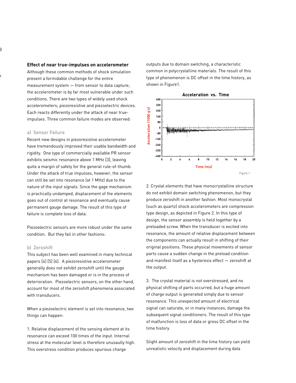## **Effect of near true-impulses on accelerometer**

Although these common methods of shock simulation present a formidable challenge for the entire measurement system — from sensor to data capture; the accelerometer is by far most vulnerable under such conditions. There are two types of widely used shock accelerometers; piezoresistive and piezoelectric devices. Each reacts differently under the attack of near trueimpulses. Three common failure modes are observed:

## a) Sensor Failure

Recent new designs in piezoresistive accelerometer have tremendously improved their usable bandwidth and rigidity. One type of commercially available PR sensor exhibits seismic resonance above 1 MHz [3], leaving quite a margin of safety for the general rule-of-thumb. Under the attack of true impulses, however, the sensor can still be set into resonance (at 1 MHz) due to the nature of the input signals. Since the gage mechanism is practically undamped, displacement of the elements goes out of control at resonance and eventually cause permanent gauge damage. The result of this type of failure is complete loss of data.

Piezoelectric sensors are more robust under the same condition. But they fail in other fashions:

## b) Zeroshift

This subject has been well examined in many technical papers [4] [5] [6]. A piezoresistive accelerometer generally does not exhibit zeroshift until the gauge mechanism has been damaged or is in the process of deterioration. Piezoelectric sensors, on the other hand, account for most of the zeroshift phenomena associated with transducers.

When a piezoelectric element is set into resonance, two things can happen:

1. Relative displacement of the sensing element at its resonance can exceed 100 times of the input. Internal stress at the molecular level is therefore unusaully high. This overstress condition produces spurious charge

outputs due to domain switching, a characteristic common in polycrystalline materials. The result of this type of phenomenon is DC offset in the time history, as shown in Figure1.



2. Crystal elements that have monocrystalline structure do not exhibit domain switching phenomenon, but they produce zeroshift in another fashion. Most monocrystal (such as quartz) shock accelerometers are compression type design, as depicted in Figure 2. In this type of design, the sensor assembly is held together by a preloaded screw. When the transducer is excited into resonance, the amount of relative displacement between the components can actually result in shifting of their original positions. These physical movements of sensor parts cause a sudden change in the preload condition and manifest itself as a hysteresis effect — zeroshift at the output.

3. The crystal material is not overstressed, and no physical shifting of parts occurred, but a huge amount of charge output is generated simply due to sensor resonance. This unexpected amount of electrical signal can saturate, or in many instances, damage the subsequent signal conditioners. The result of this type of malfunction is loss of data or gross DC offset in the time history.

Slight amount of zeroshift in the time history can yield unrealistic velocity and displacement during data

 $\langle$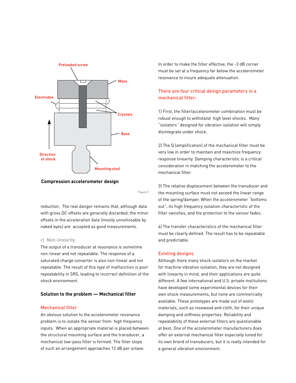

**Compression accelerometer design**

Figure 2.

reduction. The real danger remains that, although data with gross DC offsets are generally discarded, the minor offsets in the acceleration data (mostly unnoticeable by naked eyes) are accepted as good measurements.

## c) Non-linearity

The output of a transducer at resonance is sometime non-linear and not repeatable. The response of a saturated charge converter is also non-linear and not repeatable. The result of this type of malfunction is poor repeatability in SRS, leading to incorrect definition of the shock environment.

# **Solution to the problem — Mechanical filter**

## Mechanical filter

An obvious solution to the accelerometer resonance problem is to isolate the sensor from high frequency inputs. When an appropriate material is placed between the structural mounting surface and the transducer, a mechanical low-pass filter is formed. The filter slope of such an arrangement approaches 12 dB per octave.

In order to make the filter effective, the -3 dB corner must be set at a frequency far below the accelerometer resonance to insure adequate attenuation.

# There are four critical design parameters in a mechanical filter:

1) First, the filter/accelerometer combination must be robust enough to withstand high level shocks. Many "isolators" designed for vibration isolation will simply disintegrate under shock.

2) The Q (amplification) of the mechanical filter must be very low in order to maintain and maximize frequency response linearity. Damping characteristic is a critical consideration in matching the accelerometer to the mechanical filter.

3) The relative displacement between the transducer and the mounting surface must not exceed the linear range of the spring/damper. When the accelerometer "bottoms out", its high frequency isolation characteristic of the filter vanishes, and the protection to the sensor fades.

4) The transfer characteristics of the mechanical filter must be clearly defined. The result has to be repeatable and predictable.

# Existing designs

Although there many shock isolators on the market for machine vibration isolation, they are not designed with linearity in mind, and their applications are quite different. A few international and U.S. private institutions have developed some experimental devices for their own shock measurements, but none are commercially available. These prototypes are made out of exotic materials, such as rosewood and cloth, for their unique damping and stiffness properties. Reliability and repeatability of these external filters are questionable at best. One of the accelerometer manufacturers does offer an external mechanical filter especially tuned for its own brand of transducers, but it is really intended for a general vibration environment.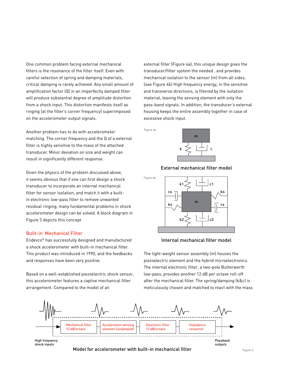One common problem facing external mechanical filters is the resonance of the filter itself. Even with careful selection of spring and damping materials, critical damping is rarely achieved. Any small amount of amplification factor (Q) in an imperfectly damped filter will produce substantial degree of amplitude distortion from a shock input. This distortion manifests itself as ringing (at the filter's corner frequency) superimposed on the accelerometer output signals.

Another problem has to do with accelerometer matching. The corner frequency and the Q of a external filter is highly sensitive to the mass of the attached transducer. Minor deviation on size and weight can result in significantly different response.

Given the physics of the problem discussed above, it seems obvious that if one can first design a shock transducer to incorporate an internal mechanical filter for sensor isolation, and match it with a builtin electronic low-pass filter to remove unwanted residual ringing, many fundamental problems in shock accelerometer design can be solved. A block diagram in Figure 3 depicts this concept.

### Built-in Mechanical Filter

Endevco® has successfully designed and manufactured a shock accelerometer with built-in mechanical filter. This product was introduced in 1990, and the feedbacks and responses have been very positive.

Based on a well-established piezoelectric shock sensor, this accelerometer features a captive mechanical filter arrangement. Compared to the model of an

external filter (Figure 4a), this unique design gives the transducer/filter system the needed , and provides mechanical isolation to the sensor (m) from all sides. (see Figure 4b) High frequency energy, in the sensitive and transverse directions, is filtered by the isolation material, leaving the sensing element with only the pass-band signals. In addition, the transducer's external housing keeps the entire assembly together in case of excessive shock input.

Figure 4a.



External mechanical filter model

Figure 4b.



#### Internal mechanical filter model

The light-weight sensor assembly (m) houses the piezoelectric element and the hybrid microelectronics. The internal electronic filter, a two-pole Butterworth low-pass, provides another 12 dB per octave roll-off after the mechanical filter. The spring/damping (k&c) is meticulously chosen and matched to react with the mass



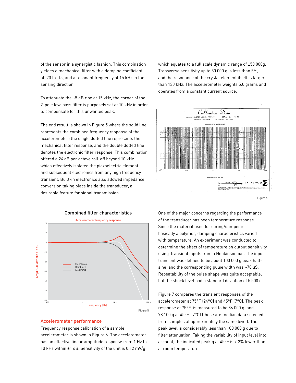of the sensor in a synergistic fashion. This combination yieldes a mechanical filter with a damping coefficient of .20 to .15, and a resonant frequency of 15 kHz in the sensing direction.

To attenuate the ~5 dB rise at 15 kHz, the corner of the 2-pole low-pass filter is purposely set at 10 kHz in order to compensate for this unwanted peak.

The end result is shown in Figure 5 where the solid line represents the combined frequency response of the accelerometer; the single dotted line represents the mechanical filter response, and the double dotted line denotes the electronic filter response. This combination offered a 24 dB per octave roll-off beyond 10 kHz which effectively isolated the piezoelectric element and subsequent electronics from any high frequency transient. Built-in electronics also allowed impedance conversion taking place inside the transducer, a desirable feature for signal transmission.



### Accelerometer performance

Frequency response calibration of a sample accelerometer is shown in Figure 6. The accelerometer has an effective linear amplitude response from 1 Hz to 10 kHz within ±1 dB. Sensitivity of the unit is 0.12 mV/g

which equates to a full scale dynamic range of ±50 000g. Transverse sensitivity up to 50 000 g is less than 5%, and the resonance of the crystal element itself is larger than 130 kHz. The accelerometer weights 5.0 grams and operates from a constant current source.



Figure 6.

One of the major concerns regarding the performance of the transducer has been temperature response. Since the material used for spring/damper is basically a polymer, damping characteristics varied with temperature. An experiment was conducted to determine the effect of temperature on output sensitivity using transient inputs from a Hopkinson bar. The input transient was defined to be about 100 000 g peak halfsine, and the corresponding pulse width was ~70 µS. Repeatability of the pulse shape was quite acceptable, but the shock level had a standard deviation of 5 500 g.

Figure 7 compares the transient responses of the accelerometer at 75°F (24°C) and 45°F (7°C). The peak response at 75°F is measured to be 86 000 g, and 78 100 g at 45°F (7°C) (these are median data selected from samples at approximately the same level). The peak level is considerably less than 100 000 g due to filter attenuation. Taking the variability of input level into account, the indicated peak g at 45°F is 9.2% lower than at room temperature.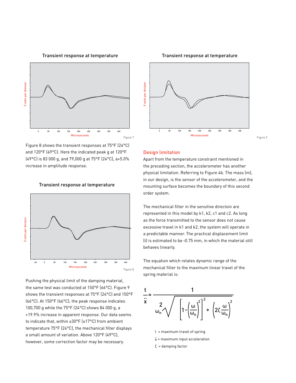



Figure 8 shows the transient responses at 75°F (24°C) and 120°F (49°C). Here the indicated peak g at 120°F (49°C) is 83 000 g, and 79,000 g at 75°F (24°C), a+5.0% increase in amplitude response.



Pushing the physical limit of the damping material, the same test was conducted at 150°F (66°C). Figure 9 shows the transient responses at 75°F (24°C) and 150°F (66°C). At 150°F (66°C), the peak response indicates 100,700 g while the 75°F (24°C) shows 84 000 g, a +19.9% increase in apparent response. Our data seems to indicate that, within ±30°F (±17°C) from ambient temperature 75°F (24°C), the mechanical filter displays a small amount of variation. Above 120°F (49°C), however, some correction factor may be necessary.



## Design limitation

Apart from the temperature constraint mentioned in the preceding section, the accelerometer has another physical limitation. Referring to Figure 4b. The mass (m), in our design, is the sensor of the accelerometer, and the mounting surface becomes the boundary of this second order system.

The mechanical filter in the sensitive directoin are represented in this model by k1, k2, c1 and c2. As long as the force transmitted to the sensor does not cause excessive travel in k1 and k2, the system will operate in a predictable manner. The practical displacement limit (t) is estimated to be <0.75 mm, in which the material still behaves linearly.

The equation which relates dynamic range of the mechanical filter to the maximum linear travel of the spring material is:



t = maximum travel of spring

- $x =$  maximum input acceleration
- $ζ =$  damping factor

#### Transient response at temperature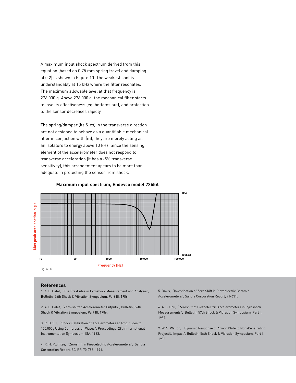A maximum input shock spectrum derived from this equation (based on 0.75 mm spring travel and damping of 0.2) is shown in Figure 10. The weakest spot is understandably at 15 kHz where the filter resonates. The maximum allowable level at that frequency is 276 000 g. Above 276 000 g the mechanical filter starts to lose its effectiveness (eg. bottoms out), and protection to the sensor decreases rapidly.

The spring/damper (ks & cs) in the transverse direction are not designed to behave as a quantifiable mechanical filter in conjuction with (m), they are merely acting as an isolators to energy above 10 kHz. Since the sensing element of the accelerometer does not respond to transverse acceleration (it has a <5% transverse sensitivity), this arrangement apears to be more than adequate in protecting the sensor from shock.



## **Maximum input spectrum, Endevco model 7255A**

#### **References**

1. A. E. Galef, "The Pre-Pulse in Pyroshock Measurement and Analysis", Bulletin, 56th Shock & Vibration Symposium, Part III, 1986.

2. A. E. Galef, "Zero-shifted Accelerometer Outputs", Bulletin, 56th Shock & Vibration Symposium, Part III, 1986.

3. R. D. Sill, "Shock Calibration of Accelerometers at Amplitudes to 100,000g Using Compression Waves", Proceedings, 29th International Instrumentation Symposium, ISA, 1983.

4. R. H. Plumlee, "Zeroshift in Piezoelectric Accelerometers", Sandia Corporation Report, SC-RR-70-755, 1971.

5. Davis, "Investigation of Zero Shift in Piezoelectric Ceramic Accelerometers", Sandia Corporation Report, 71-631.

6. A. S. Chu, "Zeroshift of Piezoelectric Accelerometers in Pyroshock Measurements", Bulletin, 57th Shock & Vibration Symposium, Part I, 1987.

7. W. S. Walton, "Dynamic Response of Armor Plate to Non-Penetrating Projectile Impact", Bulletin, 56th Shock & Vibration Symposium, Part I, 1986.